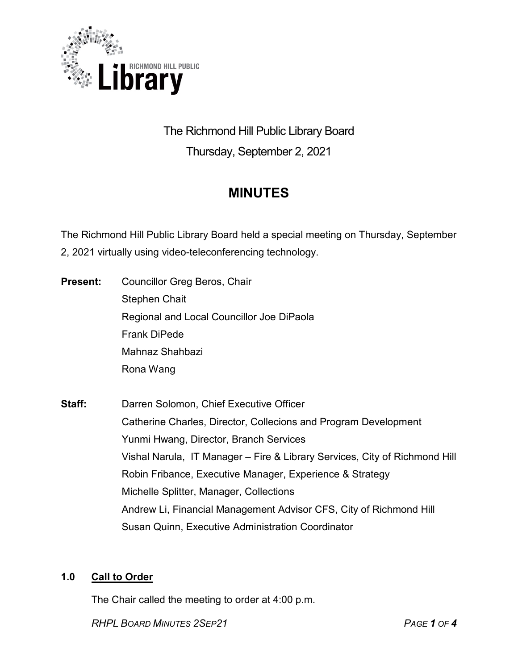

The Richmond Hill Public Library Board Thursday, September 2, 2021

# **MINUTES**

The Richmond Hill Public Library Board held a special meeting on Thursday, September 2, 2021 virtually using video-teleconferencing technology.

- **Present:** Councillor Greg Beros, Chair Stephen Chait Regional and Local Councillor Joe DiPaola Frank DiPede Mahnaz Shahbazi Rona Wang
- **Staff:** Darren Solomon, Chief Executive Officer Catherine Charles, Director, Collecions and Program Development Yunmi Hwang, Director, Branch Services Vishal Narula, IT Manager – Fire & Library Services, City of Richmond Hill Robin Fribance, Executive Manager, Experience & Strategy Michelle Splitter, Manager, Collections Andrew Li, Financial Management Advisor CFS, City of Richmond Hill Susan Quinn, Executive Administration Coordinator

# **1.0 Call to Order**

The Chair called the meeting to order at 4:00 p.m.

*RHPL BOARD MINUTES 2SEP21 PAGE 1 OF 4*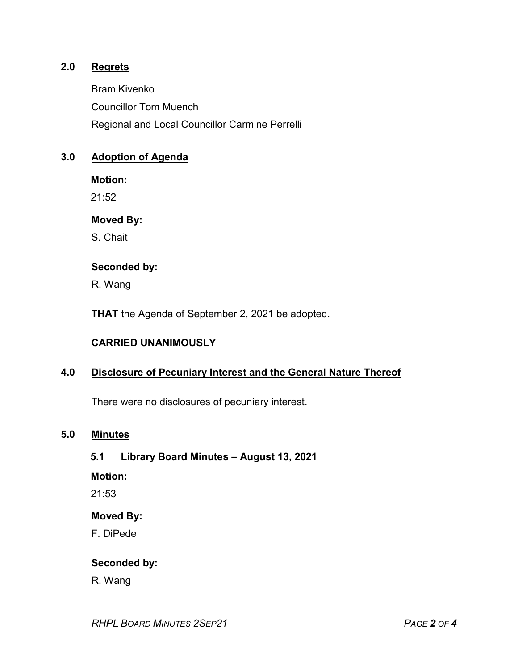# **2.0 Regrets**

Bram Kivenko Councillor Tom Muench Regional and Local Councillor Carmine Perrelli

# **3.0 Adoption of Agenda**

**Motion:**

 $21:52$ 

**Moved By:**

S. Chait

#### **Seconded by:**

R. Wang

**THAT** the Agenda of September 2, 2021 be adopted.

#### **CARRIED UNANIMOUSLY**

#### **4.0 Disclosure of Pecuniary Interest and the General Nature Thereof**

There were no disclosures of pecuniary interest.

## **5.0 Minutes**

# **5.1 Library Board Minutes – August 13, 2021**

**Motion:**

21:53

# **Moved By:**

F. DiPede

## **Seconded by:**

R. Wang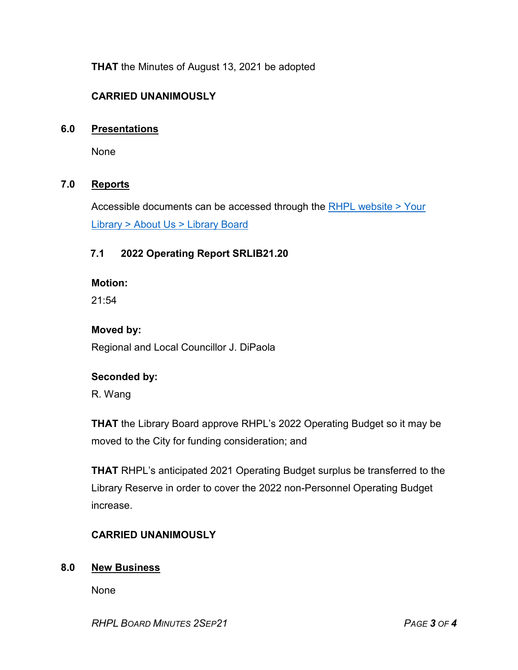**THAT** the Minutes of August 13, 2021 be adopted

# **CARRIED UNANIMOUSLY**

## **6.0 Presentations**

None

## **7.0 Reports**

Accessible documents can be accessed through the RHPL website > Your Library [> About Us > Library](https://www.rhpl.ca/your-library/about-us/library-board) Board

# **7.1 2022 Operating Report SRLIB21.20**

#### **Motion:**

21:54

#### **Moved by:**

Regional and Local Councillor J. DiPaola

#### **Seconded by:**

R. Wang

**THAT** the Library Board approve RHPL's 2022 Operating Budget so it may be moved to the City for funding consideration; and

**THAT** RHPL's anticipated 2021 Operating Budget surplus be transferred to the Library Reserve in order to cover the 2022 non-Personnel Operating Budget increase.

# **CARRIED UNANIMOUSLY**

#### **8.0 New Business**

None